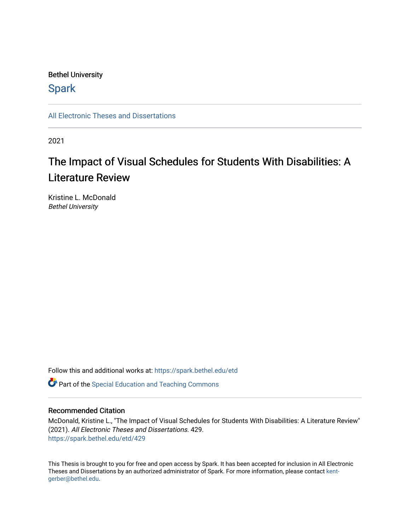## Bethel University

## **Spark**

[All Electronic Theses and Dissertations](https://spark.bethel.edu/etd) 

2021

## The Impact of Visual Schedules for Students With Disabilities: A Literature Review

Kristine L. McDonald Bethel University

Follow this and additional works at: [https://spark.bethel.edu/etd](https://spark.bethel.edu/etd?utm_source=spark.bethel.edu%2Fetd%2F429&utm_medium=PDF&utm_campaign=PDFCoverPages)

**C** Part of the Special Education and Teaching Commons

#### Recommended Citation

McDonald, Kristine L., "The Impact of Visual Schedules for Students With Disabilities: A Literature Review" (2021). All Electronic Theses and Dissertations. 429. [https://spark.bethel.edu/etd/429](https://spark.bethel.edu/etd/429?utm_source=spark.bethel.edu%2Fetd%2F429&utm_medium=PDF&utm_campaign=PDFCoverPages)

This Thesis is brought to you for free and open access by Spark. It has been accepted for inclusion in All Electronic Theses and Dissertations by an authorized administrator of Spark. For more information, please contact [kent](mailto:kent-gerber@bethel.edu)[gerber@bethel.edu.](mailto:kent-gerber@bethel.edu)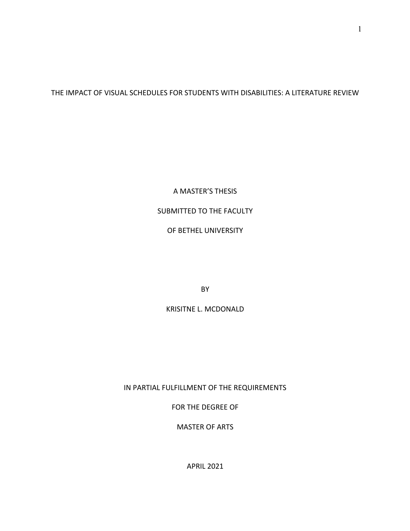THE IMPACT OF VISUAL SCHEDULES FOR STUDENTS WITH DISABILITIES: A LITERATURE REVIEW

A MASTER'S THESIS

## SUBMITTED TO THE FACULTY

OF BETHEL UNIVERSITY

BY

KRISITNE L. MCDONALD

IN PARTIAL FULFILLMENT OF THE REQUIREMENTS

FOR THE DEGREE OF

MASTER OF ARTS

APRIL 2021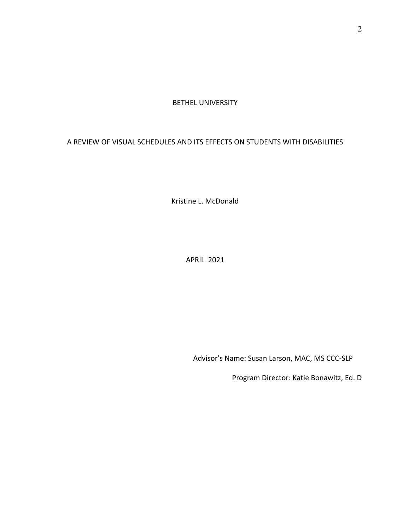#### BETHEL UNIVERSITY

### A REVIEW OF VISUAL SCHEDULES AND ITS EFFECTS ON STUDENTS WITH DISABILITIES

Kristine L. McDonald

APRIL 2021

Advisor's Name: Susan Larson, MAC, MS CCC-SLP

Program Director: Katie Bonawitz, Ed. D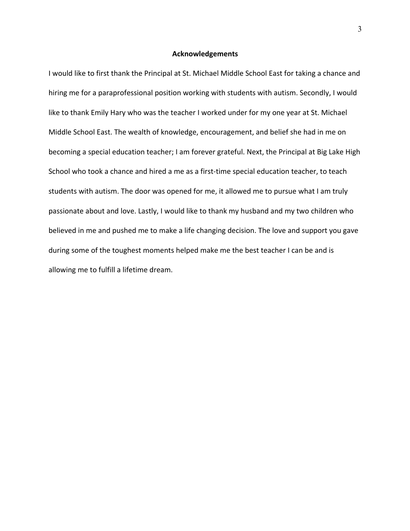#### **Acknowledgements**

I would like to first thank the Principal at St. Michael Middle School East for taking a chance and hiring me for a paraprofessional position working with students with autism. Secondly, I would like to thank Emily Hary who was the teacher I worked under for my one year at St. Michael Middle School East. The wealth of knowledge, encouragement, and belief she had in me on becoming a special education teacher; I am forever grateful. Next, the Principal at Big Lake High School who took a chance and hired a me as a first-time special education teacher, to teach students with autism. The door was opened for me, it allowed me to pursue what I am truly passionate about and love. Lastly, I would like to thank my husband and my two children who believed in me and pushed me to make a life changing decision. The love and support you gave during some of the toughest moments helped make me the best teacher I can be and is allowing me to fulfill a lifetime dream.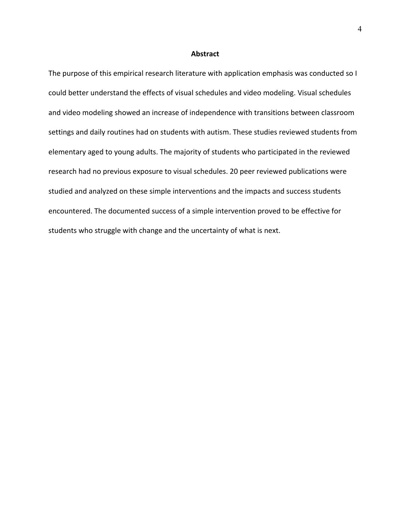#### **Abstract**

The purpose of this empirical research literature with application emphasis was conducted so I could better understand the effects of visual schedules and video modeling. Visual schedules and video modeling showed an increase of independence with transitions between classroom settings and daily routines had on students with autism. These studies reviewed students from elementary aged to young adults. The majority of students who participated in the reviewed research had no previous exposure to visual schedules. 20 peer reviewed publications were studied and analyzed on these simple interventions and the impacts and success students encountered. The documented success of a simple intervention proved to be effective for students who struggle with change and the uncertainty of what is next.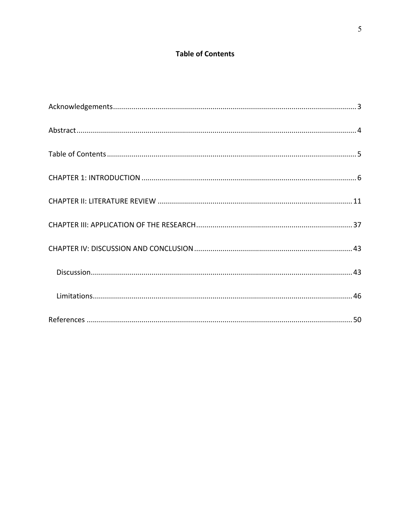## **Table of Contents**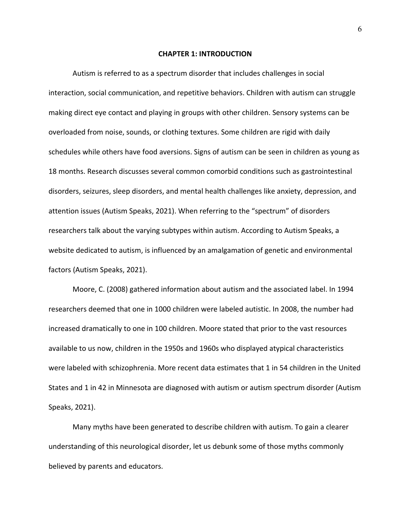#### **CHAPTER 1: INTRODUCTION**

Autism is referred to as a spectrum disorder that includes challenges in social interaction, social communication, and repetitive behaviors. Children with autism can struggle making direct eye contact and playing in groups with other children. Sensory systems can be overloaded from noise, sounds, or clothing textures. Some children are rigid with daily schedules while others have food aversions. Signs of autism can be seen in children as young as 18 months. Research discusses several common comorbid conditions such as gastrointestinal disorders, seizures, sleep disorders, and mental health challenges like anxiety, depression, and attention issues (Autism Speaks, 2021). When referring to the "spectrum" of disorders researchers talk about the varying subtypes within autism. According to Autism Speaks, a website dedicated to autism, is influenced by an amalgamation of genetic and environmental factors (Autism Speaks, 2021).

Moore, C. (2008) gathered information about autism and the associated label. In 1994 researchers deemed that one in 1000 children were labeled autistic. In 2008, the number had increased dramatically to one in 100 children. Moore stated that prior to the vast resources available to us now, children in the 1950s and 1960s who displayed atypical characteristics were labeled with schizophrenia. More recent data estimates that 1 in 54 children in the United States and 1 in 42 in Minnesota are diagnosed with autism or autism spectrum disorder (Autism Speaks, 2021).

Many myths have been generated to describe children with autism. To gain a clearer understanding of this neurological disorder, let us debunk some of those myths commonly believed by parents and educators.

6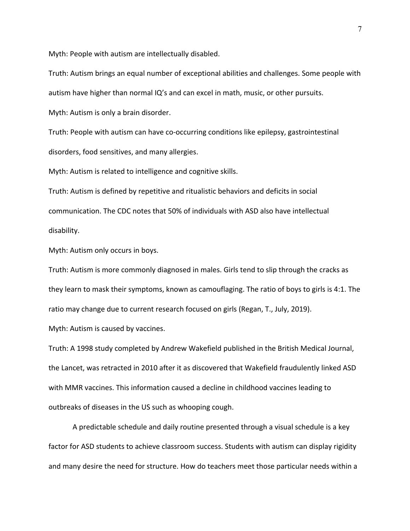Myth: People with autism are intellectually disabled.

Truth: Autism brings an equal number of exceptional abilities and challenges. Some people with autism have higher than normal IQ's and can excel in math, music, or other pursuits.

Myth: Autism is only a brain disorder.

Truth: People with autism can have co-occurring conditions like epilepsy, gastrointestinal disorders, food sensitives, and many allergies.

Myth: Autism is related to intelligence and cognitive skills.

Truth: Autism is defined by repetitive and ritualistic behaviors and deficits in social communication. The CDC notes that 50% of individuals with ASD also have intellectual disability.

Myth: Autism only occurs in boys.

Truth: Autism is more commonly diagnosed in males. Girls tend to slip through the cracks as they learn to mask their symptoms, known as camouflaging. The ratio of boys to girls is 4:1. The ratio may change due to current research focused on girls (Regan, T., July, 2019).

Myth: Autism is caused by vaccines.

Truth: A 1998 study completed by Andrew Wakefield published in the British Medical Journal, the Lancet, was retracted in 2010 after it as discovered that Wakefield fraudulently linked ASD with MMR vaccines. This information caused a decline in childhood vaccines leading to outbreaks of diseases in the US such as whooping cough.

A predictable schedule and daily routine presented through a visual schedule is a key factor for ASD students to achieve classroom success. Students with autism can display rigidity and many desire the need for structure. How do teachers meet those particular needs within a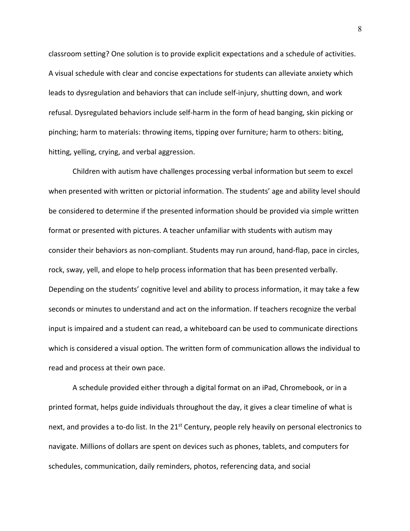classroom setting? One solution is to provide explicit expectations and a schedule of activities. A visual schedule with clear and concise expectations for students can alleviate anxiety which leads to dysregulation and behaviors that can include self-injury, shutting down, and work refusal. Dysregulated behaviors include self-harm in the form of head banging, skin picking or pinching; harm to materials: throwing items, tipping over furniture; harm to others: biting, hitting, yelling, crying, and verbal aggression.

Children with autism have challenges processing verbal information but seem to excel when presented with written or pictorial information. The students' age and ability level should be considered to determine if the presented information should be provided via simple written format or presented with pictures. A teacher unfamiliar with students with autism may consider their behaviors as non-compliant. Students may run around, hand-flap, pace in circles, rock, sway, yell, and elope to help process information that has been presented verbally. Depending on the students' cognitive level and ability to process information, it may take a few seconds or minutes to understand and act on the information. If teachers recognize the verbal input is impaired and a student can read, a whiteboard can be used to communicate directions which is considered a visual option. The written form of communication allows the individual to read and process at their own pace.

A schedule provided either through a digital format on an iPad, Chromebook, or in a printed format, helps guide individuals throughout the day, it gives a clear timeline of what is next, and provides a to-do list. In the  $21<sup>st</sup>$  Century, people rely heavily on personal electronics to navigate. Millions of dollars are spent on devices such as phones, tablets, and computers for schedules, communication, daily reminders, photos, referencing data, and social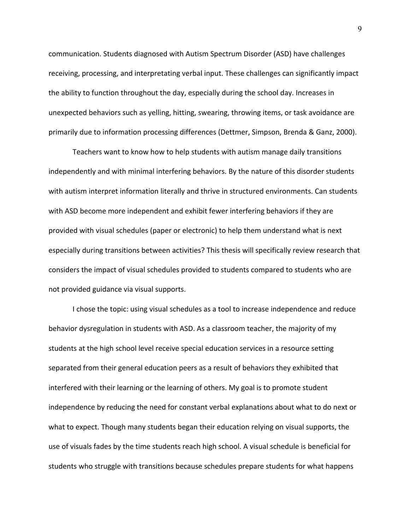communication. Students diagnosed with Autism Spectrum Disorder (ASD) have challenges receiving, processing, and interpretating verbal input. These challenges can significantly impact the ability to function throughout the day, especially during the school day. Increases in unexpected behaviors such as yelling, hitting, swearing, throwing items, or task avoidance are primarily due to information processing differences (Dettmer, Simpson, Brenda & Ganz, 2000).

Teachers want to know how to help students with autism manage daily transitions independently and with minimal interfering behaviors. By the nature of this disorder students with autism interpret information literally and thrive in structured environments. Can students with ASD become more independent and exhibit fewer interfering behaviors if they are provided with visual schedules (paper or electronic) to help them understand what is next especially during transitions between activities? This thesis will specifically review research that considers the impact of visual schedules provided to students compared to students who are not provided guidance via visual supports.

I chose the topic: using visual schedules as a tool to increase independence and reduce behavior dysregulation in students with ASD. As a classroom teacher, the majority of my students at the high school level receive special education services in a resource setting separated from their general education peers as a result of behaviors they exhibited that interfered with their learning or the learning of others. My goal is to promote student independence by reducing the need for constant verbal explanations about what to do next or what to expect. Though many students began their education relying on visual supports, the use of visuals fades by the time students reach high school. A visual schedule is beneficial for students who struggle with transitions because schedules prepare students for what happens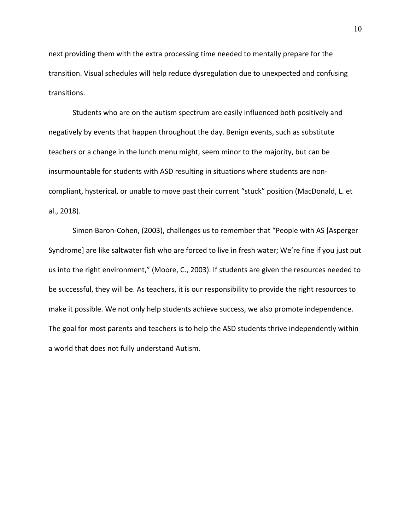next providing them with the extra processing time needed to mentally prepare for the transition. Visual schedules will help reduce dysregulation due to unexpected and confusing transitions.

Students who are on the autism spectrum are easily influenced both positively and negatively by events that happen throughout the day. Benign events, such as substitute teachers or a change in the lunch menu might, seem minor to the majority, but can be insurmountable for students with ASD resulting in situations where students are noncompliant, hysterical, or unable to move past their current "stuck" position (MacDonald, L. et al., 2018).

Simon Baron-Cohen, (2003), challenges us to remember that "People with AS [Asperger Syndrome] are like saltwater fish who are forced to live in fresh water; We're fine if you just put us into the right environment," (Moore, C., 2003). If students are given the resources needed to be successful, they will be. As teachers, it is our responsibility to provide the right resources to make it possible. We not only help students achieve success, we also promote independence. The goal for most parents and teachers is to help the ASD students thrive independently within a world that does not fully understand Autism.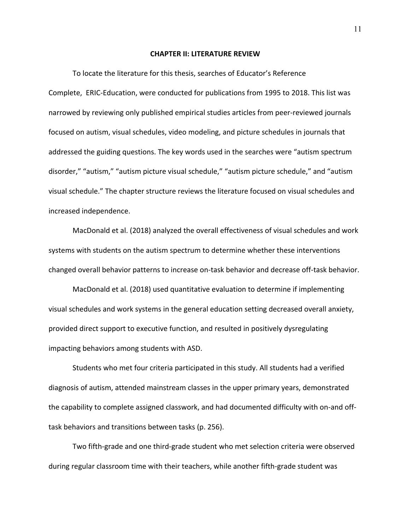#### **CHAPTER II: LITERATURE REVIEW**

To locate the literature for this thesis, searches of Educator's Reference Complete, ERIC-Education, were conducted for publications from 1995 to 2018. This list was narrowed by reviewing only published empirical studies articles from peer-reviewed journals focused on autism, visual schedules, video modeling, and picture schedules in journals that addressed the guiding questions. The key words used in the searches were "autism spectrum disorder," "autism," "autism picture visual schedule," "autism picture schedule," and "autism visual schedule." The chapter structure reviews the literature focused on visual schedules and increased independence.

MacDonald et al. (2018) analyzed the overall effectiveness of visual schedules and work systems with students on the autism spectrum to determine whether these interventions changed overall behavior patterns to increase on-task behavior and decrease off-task behavior.

MacDonald et al. (2018) used quantitative evaluation to determine if implementing visual schedules and work systems in the general education setting decreased overall anxiety, provided direct support to executive function, and resulted in positively dysregulating impacting behaviors among students with ASD.

Students who met four criteria participated in this study. All students had a verified diagnosis of autism, attended mainstream classes in the upper primary years, demonstrated the capability to complete assigned classwork, and had documented difficulty with on-and offtask behaviors and transitions between tasks (p. 256).

Two fifth-grade and one third-grade student who met selection criteria were observed during regular classroom time with their teachers, while another fifth-grade student was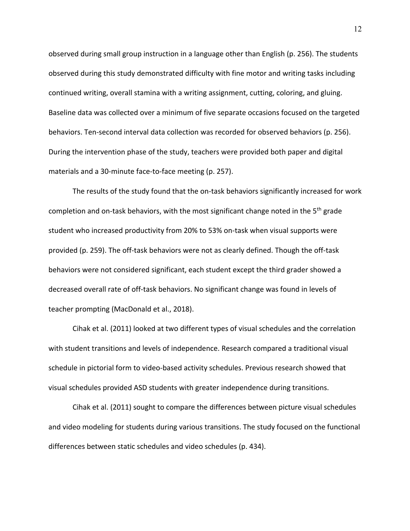observed during small group instruction in a language other than English (p. 256). The students observed during this study demonstrated difficulty with fine motor and writing tasks including continued writing, overall stamina with a writing assignment, cutting, coloring, and gluing. Baseline data was collected over a minimum of five separate occasions focused on the targeted behaviors. Ten-second interval data collection was recorded for observed behaviors (p. 256). During the intervention phase of the study, teachers were provided both paper and digital materials and a 30-minute face-to-face meeting (p. 257).

The results of the study found that the on-task behaviors significantly increased for work completion and on-task behaviors, with the most significant change noted in the 5<sup>th</sup> grade student who increased productivity from 20% to 53% on-task when visual supports were provided (p. 259). The off-task behaviors were not as clearly defined. Though the off-task behaviors were not considered significant, each student except the third grader showed a decreased overall rate of off-task behaviors. No significant change was found in levels of teacher prompting (MacDonald et al., 2018).

Cihak et al. (2011) looked at two different types of visual schedules and the correlation with student transitions and levels of independence. Research compared a traditional visual schedule in pictorial form to video-based activity schedules. Previous research showed that visual schedules provided ASD students with greater independence during transitions.

Cihak et al. (2011) sought to compare the differences between picture visual schedules and video modeling for students during various transitions. The study focused on the functional differences between static schedules and video schedules (p. 434).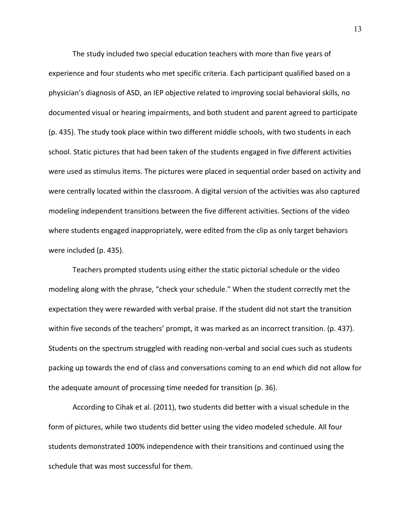The study included two special education teachers with more than five years of experience and four students who met specific criteria. Each participant qualified based on a physician's diagnosis of ASD, an IEP objective related to improving social behavioral skills, no documented visual or hearing impairments, and both student and parent agreed to participate (p. 435). The study took place within two different middle schools, with two students in each school. Static pictures that had been taken of the students engaged in five different activities were used as stimulus items. The pictures were placed in sequential order based on activity and were centrally located within the classroom. A digital version of the activities was also captured modeling independent transitions between the five different activities. Sections of the video where students engaged inappropriately, were edited from the clip as only target behaviors were included (p. 435).

Teachers prompted students using either the static pictorial schedule or the video modeling along with the phrase, "check your schedule." When the student correctly met the expectation they were rewarded with verbal praise. If the student did not start the transition within five seconds of the teachers' prompt, it was marked as an incorrect transition. (p. 437). Students on the spectrum struggled with reading non-verbal and social cues such as students packing up towards the end of class and conversations coming to an end which did not allow for the adequate amount of processing time needed for transition (p. 36).

According to Cihak et al. (2011), two students did better with a visual schedule in the form of pictures, while two students did better using the video modeled schedule. All four students demonstrated 100% independence with their transitions and continued using the schedule that was most successful for them.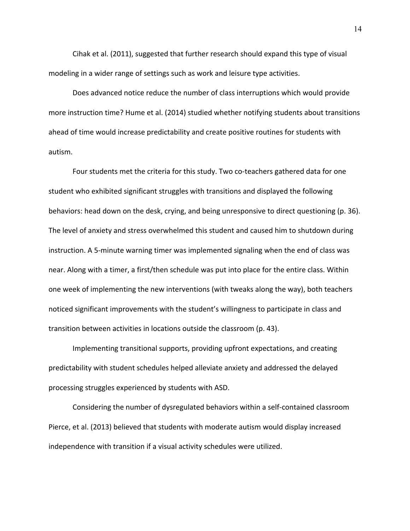Cihak et al. (2011), suggested that further research should expand this type of visual modeling in a wider range of settings such as work and leisure type activities.

Does advanced notice reduce the number of class interruptions which would provide more instruction time? Hume et al. (2014) studied whether notifying students about transitions ahead of time would increase predictability and create positive routines for students with autism.

Four students met the criteria for this study. Two co-teachers gathered data for one student who exhibited significant struggles with transitions and displayed the following behaviors: head down on the desk, crying, and being unresponsive to direct questioning (p. 36). The level of anxiety and stress overwhelmed this student and caused him to shutdown during instruction. A 5-minute warning timer was implemented signaling when the end of class was near. Along with a timer, a first/then schedule was put into place for the entire class. Within one week of implementing the new interventions (with tweaks along the way), both teachers noticed significant improvements with the student's willingness to participate in class and transition between activities in locations outside the classroom (p. 43).

Implementing transitional supports, providing upfront expectations, and creating predictability with student schedules helped alleviate anxiety and addressed the delayed processing struggles experienced by students with ASD.

Considering the number of dysregulated behaviors within a self-contained classroom Pierce, et al. (2013) believed that students with moderate autism would display increased independence with transition if a visual activity schedules were utilized.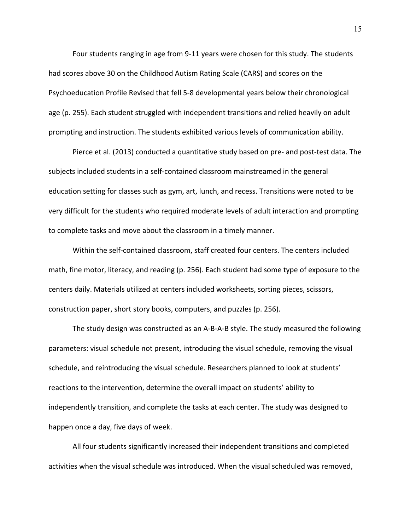Four students ranging in age from 9-11 years were chosen for this study. The students had scores above 30 on the Childhood Autism Rating Scale (CARS) and scores on the Psychoeducation Profile Revised that fell 5-8 developmental years below their chronological age (p. 255). Each student struggled with independent transitions and relied heavily on adult prompting and instruction. The students exhibited various levels of communication ability.

Pierce et al. (2013) conducted a quantitative study based on pre- and post-test data. The subjects included students in a self-contained classroom mainstreamed in the general education setting for classes such as gym, art, lunch, and recess. Transitions were noted to be very difficult for the students who required moderate levels of adult interaction and prompting to complete tasks and move about the classroom in a timely manner.

Within the self-contained classroom, staff created four centers. The centers included math, fine motor, literacy, and reading (p. 256). Each student had some type of exposure to the centers daily. Materials utilized at centers included worksheets, sorting pieces, scissors, construction paper, short story books, computers, and puzzles (p. 256).

The study design was constructed as an A-B-A-B style. The study measured the following parameters: visual schedule not present, introducing the visual schedule, removing the visual schedule, and reintroducing the visual schedule. Researchers planned to look at students' reactions to the intervention, determine the overall impact on students' ability to independently transition, and complete the tasks at each center. The study was designed to happen once a day, five days of week.

All four students significantly increased their independent transitions and completed activities when the visual schedule was introduced. When the visual scheduled was removed,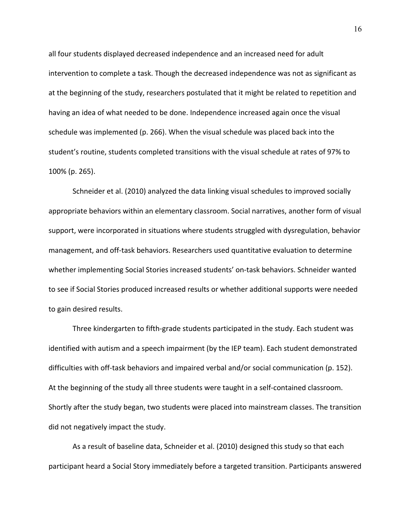all four students displayed decreased independence and an increased need for adult intervention to complete a task. Though the decreased independence was not as significant as at the beginning of the study, researchers postulated that it might be related to repetition and having an idea of what needed to be done. Independence increased again once the visual schedule was implemented (p. 266). When the visual schedule was placed back into the student's routine, students completed transitions with the visual schedule at rates of 97% to 100% (p. 265).

Schneider et al. (2010) analyzed the data linking visual schedules to improved socially appropriate behaviors within an elementary classroom. Social narratives, another form of visual support, were incorporated in situations where students struggled with dysregulation, behavior management, and off-task behaviors. Researchers used quantitative evaluation to determine whether implementing Social Stories increased students' on-task behaviors. Schneider wanted to see if Social Stories produced increased results or whether additional supports were needed to gain desired results.

Three kindergarten to fifth-grade students participated in the study. Each student was identified with autism and a speech impairment (by the IEP team). Each student demonstrated difficulties with off-task behaviors and impaired verbal and/or social communication (p. 152). At the beginning of the study all three students were taught in a self-contained classroom. Shortly after the study began, two students were placed into mainstream classes. The transition did not negatively impact the study.

As a result of baseline data, Schneider et al. (2010) designed this study so that each participant heard a Social Story immediately before a targeted transition. Participants answered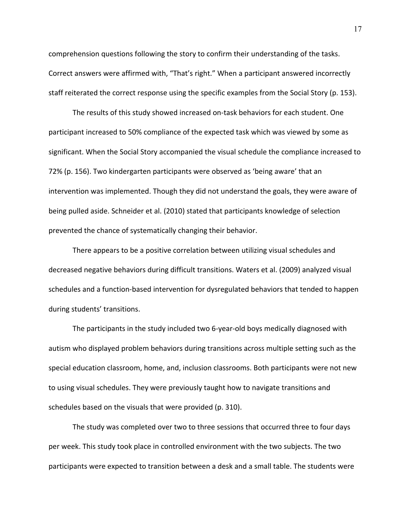comprehension questions following the story to confirm their understanding of the tasks. Correct answers were affirmed with, "That's right." When a participant answered incorrectly staff reiterated the correct response using the specific examples from the Social Story (p. 153).

The results of this study showed increased on-task behaviors for each student. One participant increased to 50% compliance of the expected task which was viewed by some as significant. When the Social Story accompanied the visual schedule the compliance increased to 72% (p. 156). Two kindergarten participants were observed as 'being aware' that an intervention was implemented. Though they did not understand the goals, they were aware of being pulled aside. Schneider et al. (2010) stated that participants knowledge of selection prevented the chance of systematically changing their behavior.

There appears to be a positive correlation between utilizing visual schedules and decreased negative behaviors during difficult transitions. Waters et al. (2009) analyzed visual schedules and a function-based intervention for dysregulated behaviors that tended to happen during students' transitions.

The participants in the study included two 6-year-old boys medically diagnosed with autism who displayed problem behaviors during transitions across multiple setting such as the special education classroom, home, and, inclusion classrooms. Both participants were not new to using visual schedules. They were previously taught how to navigate transitions and schedules based on the visuals that were provided (p. 310).

The study was completed over two to three sessions that occurred three to four days per week. This study took place in controlled environment with the two subjects. The two participants were expected to transition between a desk and a small table. The students were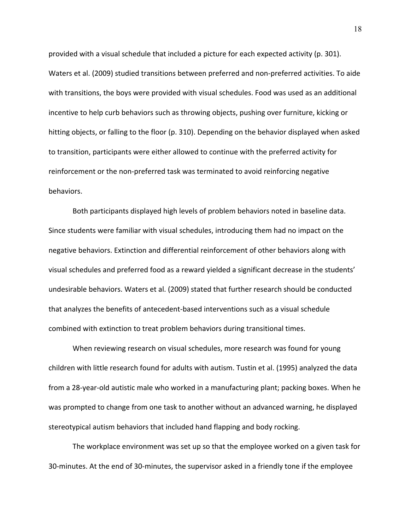provided with a visual schedule that included a picture for each expected activity (p. 301). Waters et al. (2009) studied transitions between preferred and non-preferred activities. To aide with transitions, the boys were provided with visual schedules. Food was used as an additional incentive to help curb behaviors such as throwing objects, pushing over furniture, kicking or hitting objects, or falling to the floor (p. 310). Depending on the behavior displayed when asked to transition, participants were either allowed to continue with the preferred activity for reinforcement or the non-preferred task was terminated to avoid reinforcing negative behaviors.

Both participants displayed high levels of problem behaviors noted in baseline data. Since students were familiar with visual schedules, introducing them had no impact on the negative behaviors. Extinction and differential reinforcement of other behaviors along with visual schedules and preferred food as a reward yielded a significant decrease in the students' undesirable behaviors. Waters et al. (2009) stated that further research should be conducted that analyzes the benefits of antecedent-based interventions such as a visual schedule combined with extinction to treat problem behaviors during transitional times.

When reviewing research on visual schedules, more research was found for young children with little research found for adults with autism. Tustin et al. (1995) analyzed the data from a 28-year-old autistic male who worked in a manufacturing plant; packing boxes. When he was prompted to change from one task to another without an advanced warning, he displayed stereotypical autism behaviors that included hand flapping and body rocking.

The workplace environment was set up so that the employee worked on a given task for 30-minutes. At the end of 30-minutes, the supervisor asked in a friendly tone if the employee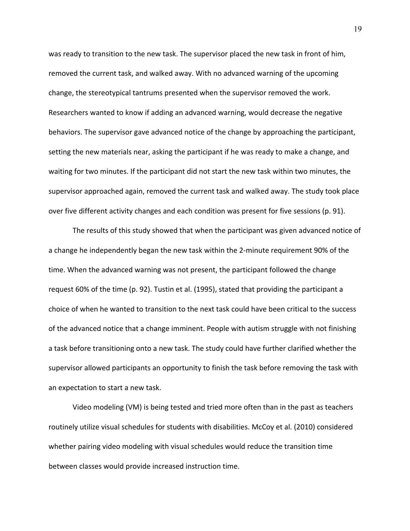was ready to transition to the new task. The supervisor placed the new task in front of him, removed the current task, and walked away. With no advanced warning of the upcoming change, the stereotypical tantrums presented when the supervisor removed the work. Researchers wanted to know if adding an advanced warning, would decrease the negative behaviors. The supervisor gave advanced notice of the change by approaching the participant, setting the new materials near, asking the participant if he was ready to make a change, and waiting for two minutes. If the participant did not start the new task within two minutes, the supervisor approached again, removed the current task and walked away. The study took place over five different activity changes and each condition was present for five sessions (p. 91).

The results of this study showed that when the participant was given advanced notice of a change he independently began the new task within the 2-minute requirement 90% of the time. When the advanced warning was not present, the participant followed the change request 60% of the time (p. 92). Tustin et al. (1995), stated that providing the participant a choice of when he wanted to transition to the next task could have been critical to the success of the advanced notice that a change imminent. People with autism struggle with not finishing a task before transitioning onto a new task. The study could have further clarified whether the supervisor allowed participants an opportunity to finish the task before removing the task with an expectation to start a new task.

Video modeling (VM) is being tested and tried more often than in the past as teachers routinely utilize visual schedules for students with disabilities. McCoy et al. (2010) considered whether pairing video modeling with visual schedules would reduce the transition time between classes would provide increased instruction time.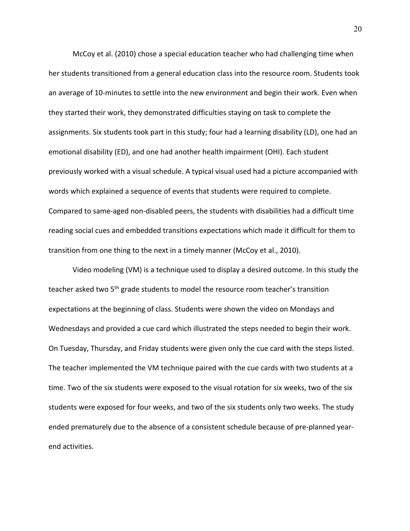McCoy et al. (2010) chose a special education teacher who had challenging time when her students transitioned from a general education class into the resource room. Students took an average of 10-minutes to settle into the new environment and begin their work. Even when they started their work, they demonstrated difficulties staying on task to complete the assignments. Six students took part in this study; four had a learning disability (LD), one had an emotional disability (ED), and one had another health impairment (OHI). Each student previously worked with a visual schedule. A typical visual used had a picture accompanied with words which explained a sequence of events that students were required to complete. Compared to same-aged non-disabled peers, the students with disabilities had a difficult time reading social cues and embedded transitions expectations which made it difficult for them to transition from one thing to the next in a timely manner (McCoy et al., 2010).

Video modeling (VM) is a technique used to display a desired outcome. In this study the teacher asked two 5<sup>th</sup> grade students to model the resource room teacher's transition expectations at the beginning of class. Students were shown the video on Mondays and Wednesdays and provided a cue card which illustrated the steps needed to begin their work. On Tuesday, Thursday, and Friday students were given only the cue card with the steps listed. The teacher implemented the VM technique paired with the cue cards with two students at a time. Two of the six students were exposed to the visual rotation for six weeks, two of the six students were exposed for four weeks, and two of the six students only two weeks. The study ended prematurely due to the absence of a consistent schedule because of pre-planned yearend activities.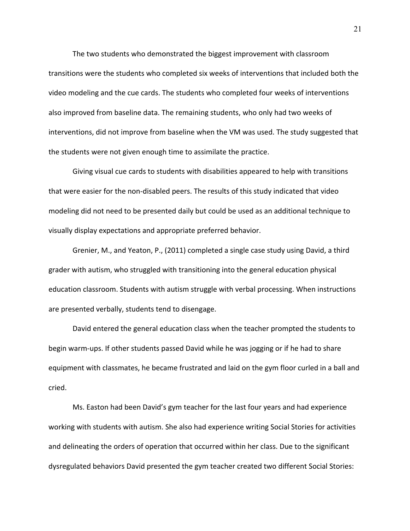The two students who demonstrated the biggest improvement with classroom transitions were the students who completed six weeks of interventions that included both the video modeling and the cue cards. The students who completed four weeks of interventions also improved from baseline data. The remaining students, who only had two weeks of interventions, did not improve from baseline when the VM was used. The study suggested that the students were not given enough time to assimilate the practice.

Giving visual cue cards to students with disabilities appeared to help with transitions that were easier for the non-disabled peers. The results of this study indicated that video modeling did not need to be presented daily but could be used as an additional technique to visually display expectations and appropriate preferred behavior.

Grenier, M., and Yeaton, P., (2011) completed a single case study using David, a third grader with autism, who struggled with transitioning into the general education physical education classroom. Students with autism struggle with verbal processing. When instructions are presented verbally, students tend to disengage.

David entered the general education class when the teacher prompted the students to begin warm-ups. If other students passed David while he was jogging or if he had to share equipment with classmates, he became frustrated and laid on the gym floor curled in a ball and cried.

Ms. Easton had been David's gym teacher for the last four years and had experience working with students with autism. She also had experience writing Social Stories for activities and delineating the orders of operation that occurred within her class. Due to the significant dysregulated behaviors David presented the gym teacher created two different Social Stories: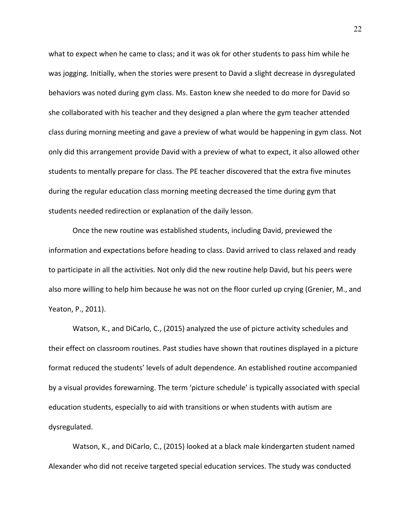what to expect when he came to class; and it was ok for other students to pass him while he was jogging. Initially, when the stories were present to David a slight decrease in dysregulated behaviors was noted during gym class. Ms. Easton knew she needed to do more for David so she collaborated with his teacher and they designed a plan where the gym teacher attended class during morning meeting and gave a preview of what would be happening in gym class. Not only did this arrangement provide David with a preview of what to expect, it also allowed other students to mentally prepare for class. The PE teacher discovered that the extra five minutes during the regular education class morning meeting decreased the time during gym that students needed redirection or explanation of the daily lesson.

Once the new routine was established students, including David, previewed the information and expectations before heading to class. David arrived to class relaxed and ready to participate in all the activities. Not only did the new routine help David, but his peers were also more willing to help him because he was not on the floor curled up crying (Grenier, M., and Yeaton, P., 2011).

Watson, K., and DiCarlo, C., (2015) analyzed the use of picture activity schedules and their effect on classroom routines. Past studies have shown that routines displayed in a picture format reduced the students' levels of adult dependence. An established routine accompanied by a visual provides forewarning. The term 'picture schedule' is typically associated with special education students, especially to aid with transitions or when students with autism are dysregulated.

Watson, K., and DiCarlo, C., (2015) looked at a black male kindergarten student named Alexander who did not receive targeted special education services. The study was conducted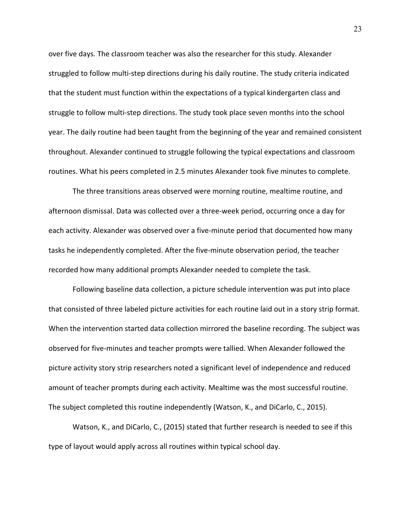over five days. The classroom teacher was also the researcher for this study. Alexander struggled to follow multi-step directions during his daily routine. The study criteria indicated that the student must function within the expectations of a typical kindergarten class and struggle to follow multi-step directions. The study took place seven months into the school year. The daily routine had been taught from the beginning of the year and remained consistent throughout. Alexander continued to struggle following the typical expectations and classroom routines. What his peers completed in 2.5 minutes Alexander took five minutes to complete.

The three transitions areas observed were morning routine, mealtime routine, and afternoon dismissal. Data was collected over a three-week period, occurring once a day for each activity. Alexander was observed over a five-minute period that documented how many tasks he independently completed. After the five-minute observation period, the teacher recorded how many additional prompts Alexander needed to complete the task.

Following baseline data collection, a picture schedule intervention was put into place that consisted of three labeled picture activities for each routine laid out in a story strip format. When the intervention started data collection mirrored the baseline recording. The subject was observed for five-minutes and teacher prompts were tallied. When Alexander followed the picture activity story strip researchers noted a significant level of independence and reduced amount of teacher prompts during each activity. Mealtime was the most successful routine. The subject completed this routine independently (Watson, K., and DiCarlo, C., 2015).

Watson, K., and DiCarlo, C., (2015) stated that further research is needed to see if this type of layout would apply across all routines within typical school day.

23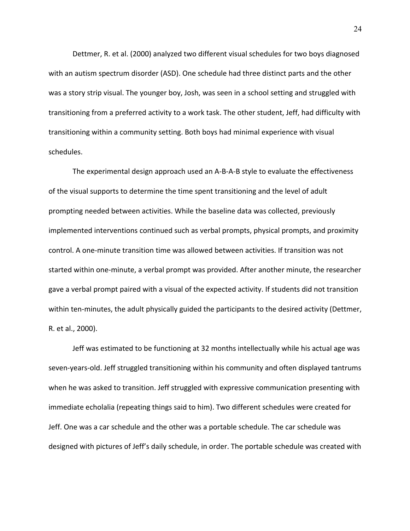Dettmer, R. et al. (2000) analyzed two different visual schedules for two boys diagnosed with an autism spectrum disorder (ASD). One schedule had three distinct parts and the other was a story strip visual. The younger boy, Josh, was seen in a school setting and struggled with transitioning from a preferred activity to a work task. The other student, Jeff, had difficulty with transitioning within a community setting. Both boys had minimal experience with visual schedules.

The experimental design approach used an A-B-A-B style to evaluate the effectiveness of the visual supports to determine the time spent transitioning and the level of adult prompting needed between activities. While the baseline data was collected, previously implemented interventions continued such as verbal prompts, physical prompts, and proximity control. A one-minute transition time was allowed between activities. If transition was not started within one-minute, a verbal prompt was provided. After another minute, the researcher gave a verbal prompt paired with a visual of the expected activity. If students did not transition within ten-minutes, the adult physically guided the participants to the desired activity (Dettmer, R. et al., 2000).

Jeff was estimated to be functioning at 32 months intellectually while his actual age was seven-years-old. Jeff struggled transitioning within his community and often displayed tantrums when he was asked to transition. Jeff struggled with expressive communication presenting with immediate echolalia (repeating things said to him). Two different schedules were created for Jeff. One was a car schedule and the other was a portable schedule. The car schedule was designed with pictures of Jeff's daily schedule, in order. The portable schedule was created with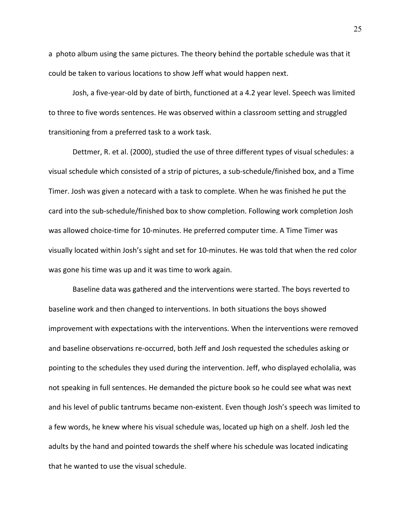a photo album using the same pictures. The theory behind the portable schedule was that it could be taken to various locations to show Jeff what would happen next.

Josh, a five-year-old by date of birth, functioned at a 4.2 year level. Speech was limited to three to five words sentences. He was observed within a classroom setting and struggled transitioning from a preferred task to a work task.

Dettmer, R. et al. (2000), studied the use of three different types of visual schedules: a visual schedule which consisted of a strip of pictures, a sub-schedule/finished box, and a Time Timer. Josh was given a notecard with a task to complete. When he was finished he put the card into the sub-schedule/finished box to show completion. Following work completion Josh was allowed choice-time for 10-minutes. He preferred computer time. A Time Timer was visually located within Josh's sight and set for 10-minutes. He was told that when the red color was gone his time was up and it was time to work again.

Baseline data was gathered and the interventions were started. The boys reverted to baseline work and then changed to interventions. In both situations the boys showed improvement with expectations with the interventions. When the interventions were removed and baseline observations re-occurred, both Jeff and Josh requested the schedules asking or pointing to the schedules they used during the intervention. Jeff, who displayed echolalia, was not speaking in full sentences. He demanded the picture book so he could see what was next and his level of public tantrums became non-existent. Even though Josh's speech was limited to a few words, he knew where his visual schedule was, located up high on a shelf. Josh led the adults by the hand and pointed towards the shelf where his schedule was located indicating that he wanted to use the visual schedule.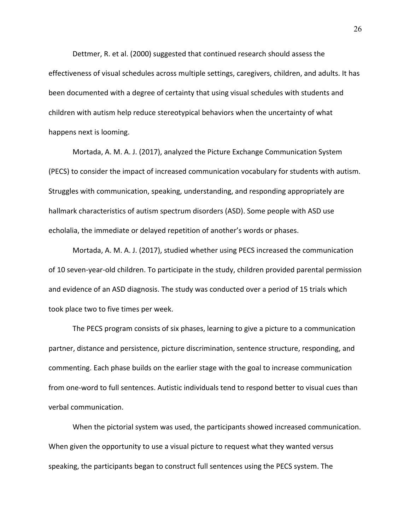Dettmer, R. et al. (2000) suggested that continued research should assess the effectiveness of visual schedules across multiple settings, caregivers, children, and adults. It has been documented with a degree of certainty that using visual schedules with students and children with autism help reduce stereotypical behaviors when the uncertainty of what happens next is looming.

Mortada, A. M. A. J. (2017), analyzed the Picture Exchange Communication System (PECS) to consider the impact of increased communication vocabulary for students with autism. Struggles with communication, speaking, understanding, and responding appropriately are hallmark characteristics of autism spectrum disorders (ASD). Some people with ASD use echolalia, the immediate or delayed repetition of another's words or phases.

Mortada, A. M. A. J. (2017), studied whether using PECS increased the communication of 10 seven-year-old children. To participate in the study, children provided parental permission and evidence of an ASD diagnosis. The study was conducted over a period of 15 trials which took place two to five times per week.

The PECS program consists of six phases, learning to give a picture to a communication partner, distance and persistence, picture discrimination, sentence structure, responding, and commenting. Each phase builds on the earlier stage with the goal to increase communication from one-word to full sentences. Autistic individuals tend to respond better to visual cues than verbal communication.

When the pictorial system was used, the participants showed increased communication. When given the opportunity to use a visual picture to request what they wanted versus speaking, the participants began to construct full sentences using the PECS system. The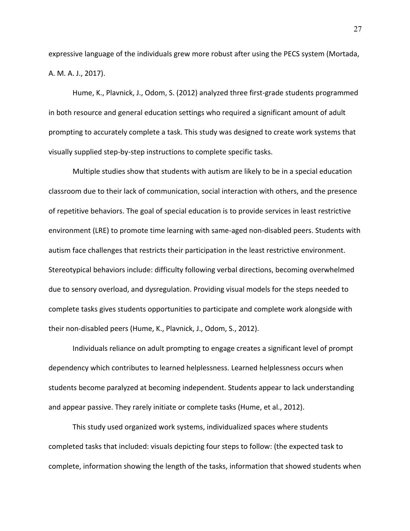expressive language of the individuals grew more robust after using the PECS system (Mortada, A. M. A. J., 2017).

Hume, K., Plavnick, J., Odom, S. (2012) analyzed three first-grade students programmed in both resource and general education settings who required a significant amount of adult prompting to accurately complete a task. This study was designed to create work systems that visually supplied step-by-step instructions to complete specific tasks.

Multiple studies show that students with autism are likely to be in a special education classroom due to their lack of communication, social interaction with others, and the presence of repetitive behaviors. The goal of special education is to provide services in least restrictive environment (LRE) to promote time learning with same-aged non-disabled peers. Students with autism face challenges that restricts their participation in the least restrictive environment. Stereotypical behaviors include: difficulty following verbal directions, becoming overwhelmed due to sensory overload, and dysregulation. Providing visual models for the steps needed to complete tasks gives students opportunities to participate and complete work alongside with their non-disabled peers (Hume, K., Plavnick, J., Odom, S., 2012).

Individuals reliance on adult prompting to engage creates a significant level of prompt dependency which contributes to learned helplessness. Learned helplessness occurs when students become paralyzed at becoming independent. Students appear to lack understanding and appear passive. They rarely initiate or complete tasks (Hume, et al., 2012).

This study used organized work systems, individualized spaces where students completed tasks that included: visuals depicting four steps to follow: (the expected task to complete, information showing the length of the tasks, information that showed students when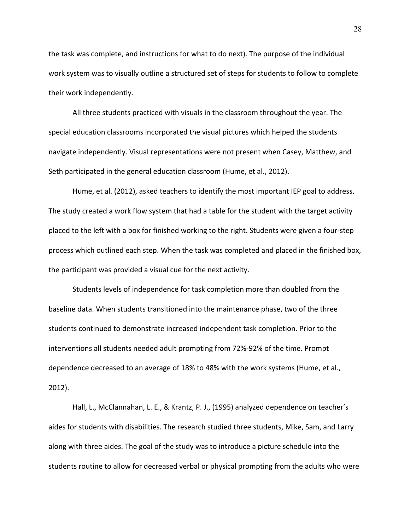the task was complete, and instructions for what to do next). The purpose of the individual work system was to visually outline a structured set of steps for students to follow to complete their work independently.

All three students practiced with visuals in the classroom throughout the year. The special education classrooms incorporated the visual pictures which helped the students navigate independently. Visual representations were not present when Casey, Matthew, and Seth participated in the general education classroom (Hume, et al., 2012).

Hume, et al. (2012), asked teachers to identify the most important IEP goal to address. The study created a work flow system that had a table for the student with the target activity placed to the left with a box for finished working to the right. Students were given a four-step process which outlined each step. When the task was completed and placed in the finished box, the participant was provided a visual cue for the next activity.

Students levels of independence for task completion more than doubled from the baseline data. When students transitioned into the maintenance phase, two of the three students continued to demonstrate increased independent task completion. Prior to the interventions all students needed adult prompting from 72%-92% of the time. Prompt dependence decreased to an average of 18% to 48% with the work systems (Hume, et al., 2012).

Hall, L., McClannahan, L. E., & Krantz, P. J., (1995) analyzed dependence on teacher's aides for students with disabilities. The research studied three students, Mike, Sam, and Larry along with three aides. The goal of the study was to introduce a picture schedule into the students routine to allow for decreased verbal or physical prompting from the adults who were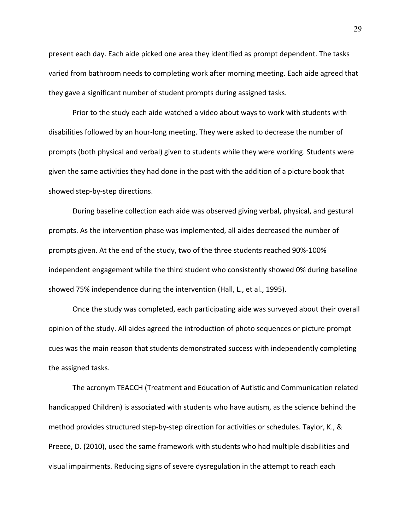present each day. Each aide picked one area they identified as prompt dependent. The tasks varied from bathroom needs to completing work after morning meeting. Each aide agreed that they gave a significant number of student prompts during assigned tasks.

Prior to the study each aide watched a video about ways to work with students with disabilities followed by an hour-long meeting. They were asked to decrease the number of prompts (both physical and verbal) given to students while they were working. Students were given the same activities they had done in the past with the addition of a picture book that showed step-by-step directions.

During baseline collection each aide was observed giving verbal, physical, and gestural prompts. As the intervention phase was implemented, all aides decreased the number of prompts given. At the end of the study, two of the three students reached 90%-100% independent engagement while the third student who consistently showed 0% during baseline showed 75% independence during the intervention (Hall, L., et al., 1995).

Once the study was completed, each participating aide was surveyed about their overall opinion of the study. All aides agreed the introduction of photo sequences or picture prompt cues was the main reason that students demonstrated success with independently completing the assigned tasks.

The acronym TEACCH (Treatment and Education of Autistic and Communication related handicapped Children) is associated with students who have autism, as the science behind the method provides structured step-by-step direction for activities or schedules. Taylor, K., & Preece, D. (2010), used the same framework with students who had multiple disabilities and visual impairments. Reducing signs of severe dysregulation in the attempt to reach each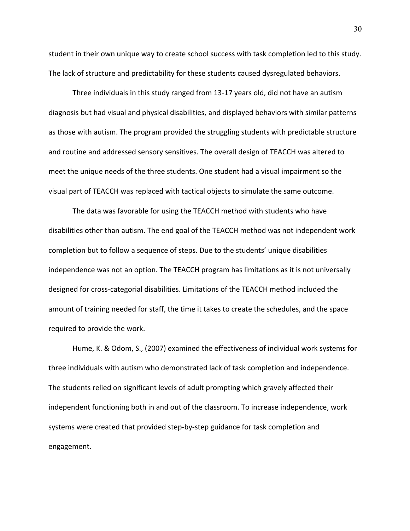student in their own unique way to create school success with task completion led to this study. The lack of structure and predictability for these students caused dysregulated behaviors.

Three individuals in this study ranged from 13-17 years old, did not have an autism diagnosis but had visual and physical disabilities, and displayed behaviors with similar patterns as those with autism. The program provided the struggling students with predictable structure and routine and addressed sensory sensitives. The overall design of TEACCH was altered to meet the unique needs of the three students. One student had a visual impairment so the visual part of TEACCH was replaced with tactical objects to simulate the same outcome.

The data was favorable for using the TEACCH method with students who have disabilities other than autism. The end goal of the TEACCH method was not independent work completion but to follow a sequence of steps. Due to the students' unique disabilities independence was not an option. The TEACCH program has limitations as it is not universally designed for cross-categorial disabilities. Limitations of the TEACCH method included the amount of training needed for staff, the time it takes to create the schedules, and the space required to provide the work.

Hume, K. & Odom, S., (2007) examined the effectiveness of individual work systems for three individuals with autism who demonstrated lack of task completion and independence. The students relied on significant levels of adult prompting which gravely affected their independent functioning both in and out of the classroom. To increase independence, work systems were created that provided step-by-step guidance for task completion and engagement.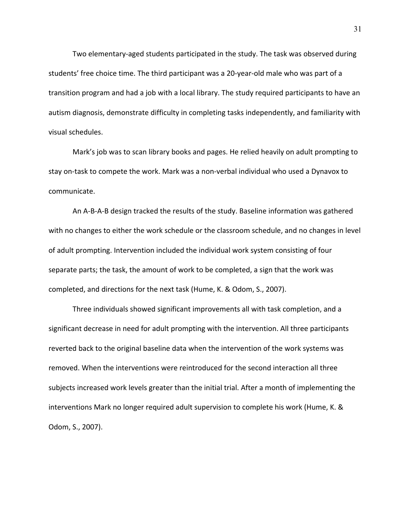Two elementary-aged students participated in the study. The task was observed during students' free choice time. The third participant was a 20-year-old male who was part of a transition program and had a job with a local library. The study required participants to have an autism diagnosis, demonstrate difficulty in completing tasks independently, and familiarity with visual schedules.

Mark's job was to scan library books and pages. He relied heavily on adult prompting to stay on-task to compete the work. Mark was a non-verbal individual who used a Dynavox to communicate.

An A-B-A-B design tracked the results of the study. Baseline information was gathered with no changes to either the work schedule or the classroom schedule, and no changes in level of adult prompting. Intervention included the individual work system consisting of four separate parts; the task, the amount of work to be completed, a sign that the work was completed, and directions for the next task (Hume, K. & Odom, S., 2007).

Three individuals showed significant improvements all with task completion, and a significant decrease in need for adult prompting with the intervention. All three participants reverted back to the original baseline data when the intervention of the work systems was removed. When the interventions were reintroduced for the second interaction all three subjects increased work levels greater than the initial trial. After a month of implementing the interventions Mark no longer required adult supervision to complete his work (Hume, K. & Odom, S., 2007).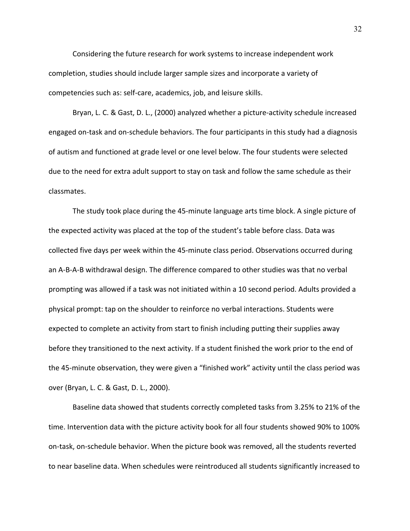Considering the future research for work systems to increase independent work completion, studies should include larger sample sizes and incorporate a variety of competencies such as: self-care, academics, job, and leisure skills.

Bryan, L. C. & Gast, D. L., (2000) analyzed whether a picture-activity schedule increased engaged on-task and on-schedule behaviors. The four participants in this study had a diagnosis of autism and functioned at grade level or one level below. The four students were selected due to the need for extra adult support to stay on task and follow the same schedule as their classmates.

The study took place during the 45-minute language arts time block. A single picture of the expected activity was placed at the top of the student's table before class. Data was collected five days per week within the 45-minute class period. Observations occurred during an A-B-A-B withdrawal design. The difference compared to other studies was that no verbal prompting was allowed if a task was not initiated within a 10 second period. Adults provided a physical prompt: tap on the shoulder to reinforce no verbal interactions. Students were expected to complete an activity from start to finish including putting their supplies away before they transitioned to the next activity. If a student finished the work prior to the end of the 45-minute observation, they were given a "finished work" activity until the class period was over (Bryan, L. C. & Gast, D. L., 2000).

Baseline data showed that students correctly completed tasks from 3.25% to 21% of the time. Intervention data with the picture activity book for all four students showed 90% to 100% on-task, on-schedule behavior. When the picture book was removed, all the students reverted to near baseline data. When schedules were reintroduced all students significantly increased to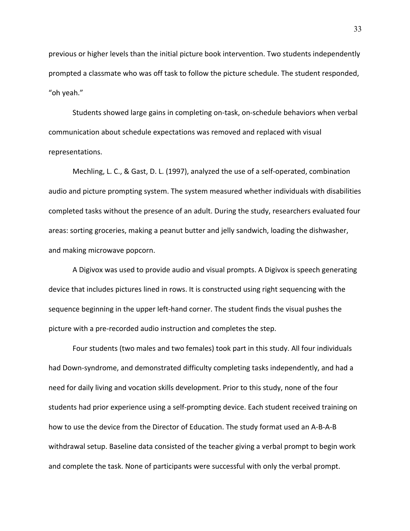previous or higher levels than the initial picture book intervention. Two students independently prompted a classmate who was off task to follow the picture schedule. The student responded, "oh yeah."

Students showed large gains in completing on-task, on-schedule behaviors when verbal communication about schedule expectations was removed and replaced with visual representations.

Mechling, L. C., & Gast, D. L. (1997), analyzed the use of a self-operated, combination audio and picture prompting system. The system measured whether individuals with disabilities completed tasks without the presence of an adult. During the study, researchers evaluated four areas: sorting groceries, making a peanut butter and jelly sandwich, loading the dishwasher, and making microwave popcorn.

A Digivox was used to provide audio and visual prompts. A Digivox is speech generating device that includes pictures lined in rows. It is constructed using right sequencing with the sequence beginning in the upper left-hand corner. The student finds the visual pushes the picture with a pre-recorded audio instruction and completes the step.

Four students (two males and two females) took part in this study. All four individuals had Down-syndrome, and demonstrated difficulty completing tasks independently, and had a need for daily living and vocation skills development. Prior to this study, none of the four students had prior experience using a self-prompting device. Each student received training on how to use the device from the Director of Education. The study format used an A-B-A-B withdrawal setup. Baseline data consisted of the teacher giving a verbal prompt to begin work and complete the task. None of participants were successful with only the verbal prompt.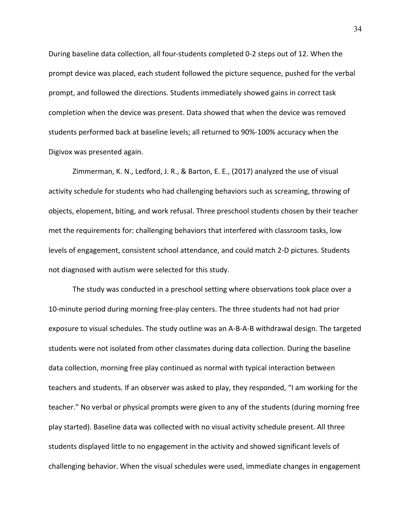During baseline data collection, all four-students completed 0-2 steps out of 12. When the prompt device was placed, each student followed the picture sequence, pushed for the verbal prompt, and followed the directions. Students immediately showed gains in correct task completion when the device was present. Data showed that when the device was removed students performed back at baseline levels; all returned to 90%-100% accuracy when the Digivox was presented again.

Zimmerman, K. N., Ledford, J. R., & Barton, E. E., (2017) analyzed the use of visual activity schedule for students who had challenging behaviors such as screaming, throwing of objects, elopement, biting, and work refusal. Three preschool students chosen by their teacher met the requirements for: challenging behaviors that interfered with classroom tasks, low levels of engagement, consistent school attendance, and could match 2-D pictures. Students not diagnosed with autism were selected for this study.

The study was conducted in a preschool setting where observations took place over a 10-minute period during morning free-play centers. The three students had not had prior exposure to visual schedules. The study outline was an A-B-A-B withdrawal design. The targeted students were not isolated from other classmates during data collection. During the baseline data collection, morning free play continued as normal with typical interaction between teachers and students. If an observer was asked to play, they responded, "I am working for the teacher." No verbal or physical prompts were given to any of the students (during morning free play started). Baseline data was collected with no visual activity schedule present. All three students displayed little to no engagement in the activity and showed significant levels of challenging behavior. When the visual schedules were used, immediate changes in engagement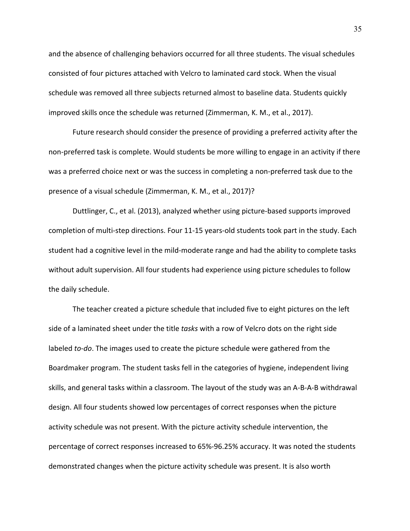and the absence of challenging behaviors occurred for all three students. The visual schedules consisted of four pictures attached with Velcro to laminated card stock. When the visual schedule was removed all three subjects returned almost to baseline data. Students quickly improved skills once the schedule was returned (Zimmerman, K. M., et al., 2017).

Future research should consider the presence of providing a preferred activity after the non-preferred task is complete. Would students be more willing to engage in an activity if there was a preferred choice next or was the success in completing a non-preferred task due to the presence of a visual schedule (Zimmerman, K. M., et al., 2017)?

Duttlinger, C., et al. (2013), analyzed whether using picture-based supports improved completion of multi-step directions. Four 11-15 years-old students took part in the study. Each student had a cognitive level in the mild-moderate range and had the ability to complete tasks without adult supervision. All four students had experience using picture schedules to follow the daily schedule.

The teacher created a picture schedule that included five to eight pictures on the left side of a laminated sheet under the title *tasks* with a row of Velcro dots on the right side labeled *to-do*. The images used to create the picture schedule were gathered from the Boardmaker program. The student tasks fell in the categories of hygiene, independent living skills, and general tasks within a classroom. The layout of the study was an A-B-A-B withdrawal design. All four students showed low percentages of correct responses when the picture activity schedule was not present. With the picture activity schedule intervention, the percentage of correct responses increased to 65%-96.25% accuracy. It was noted the students demonstrated changes when the picture activity schedule was present. It is also worth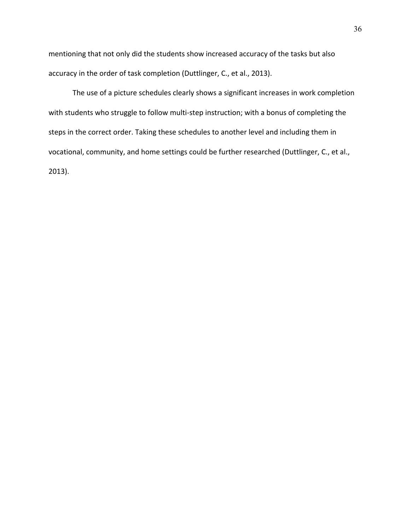mentioning that not only did the students show increased accuracy of the tasks but also accuracy in the order of task completion (Duttlinger, C., et al., 2013).

The use of a picture schedules clearly shows a significant increases in work completion with students who struggle to follow multi-step instruction; with a bonus of completing the steps in the correct order. Taking these schedules to another level and including them in vocational, community, and home settings could be further researched (Duttlinger, C., et al., 2013).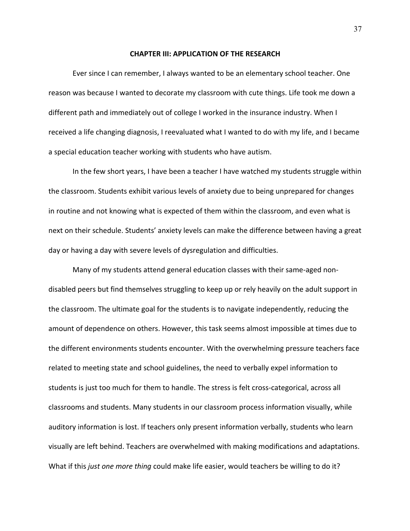#### **CHAPTER III: APPLICATION OF THE RESEARCH**

Ever since I can remember, I always wanted to be an elementary school teacher. One reason was because I wanted to decorate my classroom with cute things. Life took me down a different path and immediately out of college I worked in the insurance industry. When I received a life changing diagnosis, I reevaluated what I wanted to do with my life, and I became a special education teacher working with students who have autism.

In the few short years, I have been a teacher I have watched my students struggle within the classroom. Students exhibit various levels of anxiety due to being unprepared for changes in routine and not knowing what is expected of them within the classroom, and even what is next on their schedule. Students' anxiety levels can make the difference between having a great day or having a day with severe levels of dysregulation and difficulties.

Many of my students attend general education classes with their same-aged nondisabled peers but find themselves struggling to keep up or rely heavily on the adult support in the classroom. The ultimate goal for the students is to navigate independently, reducing the amount of dependence on others. However, this task seems almost impossible at times due to the different environments students encounter. With the overwhelming pressure teachers face related to meeting state and school guidelines, the need to verbally expel information to students is just too much for them to handle. The stress is felt cross-categorical, across all classrooms and students. Many students in our classroom process information visually, while auditory information is lost. If teachers only present information verbally, students who learn visually are left behind. Teachers are overwhelmed with making modifications and adaptations. What if this *just one more thing* could make life easier, would teachers be willing to do it?

37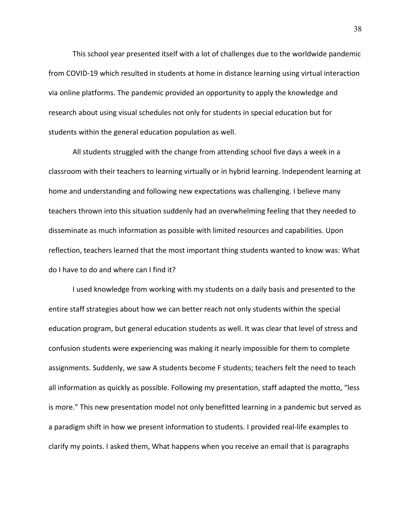This school year presented itself with a lot of challenges due to the worldwide pandemic from COVID-19 which resulted in students at home in distance learning using virtual interaction via online platforms. The pandemic provided an opportunity to apply the knowledge and research about using visual schedules not only for students in special education but for students within the general education population as well.

All students struggled with the change from attending school five days a week in a classroom with their teachers to learning virtually or in hybrid learning. Independent learning at home and understanding and following new expectations was challenging. I believe many teachers thrown into this situation suddenly had an overwhelming feeling that they needed to disseminate as much information as possible with limited resources and capabilities. Upon reflection, teachers learned that the most important thing students wanted to know was: What do I have to do and where can I find it?

I used knowledge from working with my students on a daily basis and presented to the entire staff strategies about how we can better reach not only students within the special education program, but general education students as well. It was clear that level of stress and confusion students were experiencing was making it nearly impossible for them to complete assignments. Suddenly, we saw A students become F students; teachers felt the need to teach all information as quickly as possible. Following my presentation, staff adapted the motto, "less is more." This new presentation model not only benefitted learning in a pandemic but served as a paradigm shift in how we present information to students. I provided real-life examples to clarify my points. I asked them, What happens when you receive an email that is paragraphs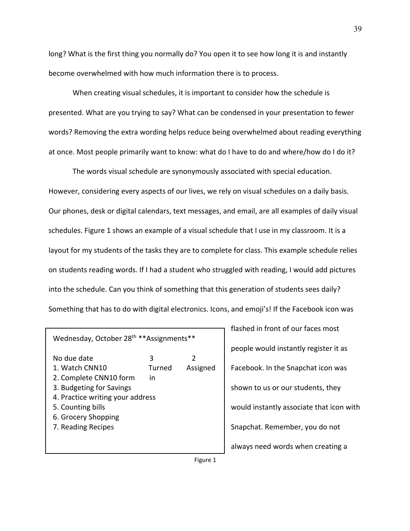long? What is the first thing you normally do? You open it to see how long it is and instantly become overwhelmed with how much information there is to process.

When creating visual schedules, it is important to consider how the schedule is presented. What are you trying to say? What can be condensed in your presentation to fewer words? Removing the extra wording helps reduce being overwhelmed about reading everything at once. Most people primarily want to know: what do I have to do and where/how do I do it?

The words visual schedule are synonymously associated with special education. However, considering every aspects of our lives, we rely on visual schedules on a daily basis. Our phones, desk or digital calendars, text messages, and email, are all examples of daily visual schedules. Figure 1 shows an example of a visual schedule that I use in my classroom. It is a layout for my students of the tasks they are to complete for class. This example schedule relies on students reading words. If I had a student who struggled with reading, I would add pictures into the schedule. Can you think of something that this generation of students sees daily? Something that has to do with digital electronics. Icons, and emoji's! If the Facebook icon was

| Wednesday, October 28 <sup>th</sup> **Assignments**                                                                                                                                       |                   |               |  |
|-------------------------------------------------------------------------------------------------------------------------------------------------------------------------------------------|-------------------|---------------|--|
| No due date<br>1. Watch CNN10<br>2. Complete CNN10 form<br>3. Budgeting for Savings<br>4. Practice writing your address<br>5. Counting bills<br>6. Grocery Shopping<br>7. Reading Recipes | 3<br>Turned<br>in | 2<br>Assigned |  |
|                                                                                                                                                                                           |                   |               |  |

flashed in front of our faces most people would instantly register it as Facebook. In the Snapchat icon was shown to us or our students, they would instantly associate that icon with Snapchat. Remember, you do not always need words when creating a

Figure 1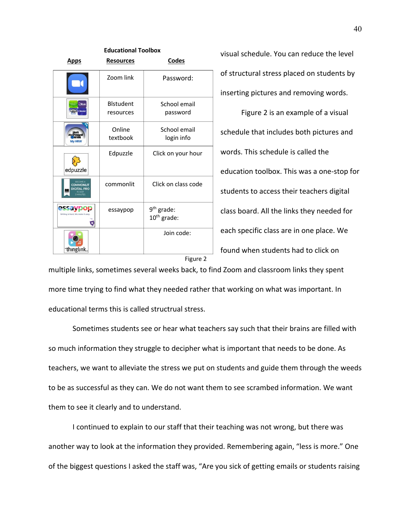| <b>Educational Toolbox</b>                              |                                |                                         |  |  |
|---------------------------------------------------------|--------------------------------|-----------------------------------------|--|--|
| Apps                                                    | <b>Resources</b>               | <b>Codes</b>                            |  |  |
|                                                         | Zoom link                      | Password:                               |  |  |
| Эtus                                                    | <b>B</b> lstudent<br>resources | School email<br>password                |  |  |
| <b>My HRW</b>                                           | Online<br>textbook             | School email<br>login info              |  |  |
| edpuzzle                                                | Edpuzzle                       | Click on your hour                      |  |  |
| <b>BECOME A</b><br><b>COMMONLIT</b><br><b>GITAL PRO</b> | commonlit                      | Click on class code                     |  |  |
| Writing is hard. We make<br>۹                           | essaypop                       | 9 <sup>th</sup> grade:<br>$10th$ grade: |  |  |
| thınglınk.                                              |                                | Join code:                              |  |  |

visual schedule. You can reduce the level of structural stress placed on students by inserting pictures and removing words.

Figure 2 is an example of a visual schedule that includes both pictures and words. This schedule is called the education toolbox. This was a one-stop for students to access their teachers digital class board. All the links they needed for each specific class are in one place. We found when students had to click on

Figure 2

multiple links, sometimes several weeks back, to find Zoom and classroom links they spent more time trying to find what they needed rather that working on what was important. In educational terms this is called structrual stress.

Sometimes students see or hear what teachers say such that their brains are filled with so much information they struggle to decipher what is important that needs to be done. As teachers, we want to alleviate the stress we put on students and guide them through the weeds to be as successful as they can. We do not want them to see scrambed information. We want them to see it clearly and to understand.

I continued to explain to our staff that their teaching was not wrong, but there was another way to look at the information they provided. Remembering again, "less is more." One of the biggest questions I asked the staff was, "Are you sick of getting emails or students raising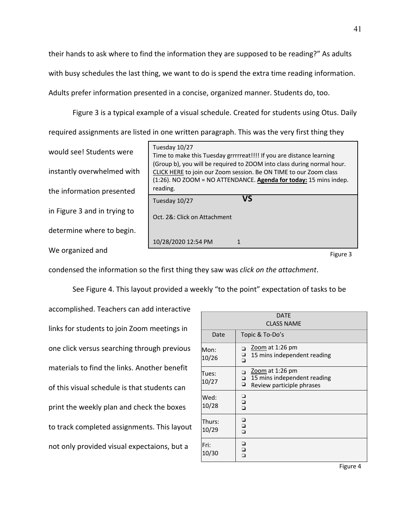their hands to ask where to find the information they are supposed to be reading?" As adults with busy schedules the last thing, we want to do is spend the extra time reading information. Adults prefer information presented in a concise, organized manner. Students do, too.

Figure 3 is a typical example of a visual schedule. Created for students using Otus. Daily required assignments are listed in one written paragraph. This was the very first thing they

would see! Students were instantly overwhelmed with the information presented in Figure 3 and in trying to determine where to begin. We organized and

| Tuesday 10/27<br>reading.    | Time to make this Tuesday grrrrreat!!!! If you are distance learning<br>(Group b), you will be required to ZOOM into class during normal hour.<br>CLICK HERE to join our Zoom session. Be ON TIME to our Zoom class<br>(1:26). NO ZOOM = NO ATTENDANCE. Agenda for today: 15 mins indep. |
|------------------------------|------------------------------------------------------------------------------------------------------------------------------------------------------------------------------------------------------------------------------------------------------------------------------------------|
| Tuesday 10/27                |                                                                                                                                                                                                                                                                                          |
| Oct. 2&: Click on Attachment |                                                                                                                                                                                                                                                                                          |
| 10/28/2020 12:54 PM          | 1                                                                                                                                                                                                                                                                                        |
|                              |                                                                                                                                                                                                                                                                                          |

Figure 3

condensed the information so the first thing they saw was *click on the attachment*.

See Figure 4. This layout provided a weekly "to the point" expectation of tasks to be

accomplished. Teachers can add interactive links for students to join Zoom meetings in one click versus searching through previous materials to find the links. Another benefit of this visual schedule is that students can print the weekly plan and check the boxes to track completed assignments. This layout not only provided visual expectaions, but a

| <b>DATE</b>       |                                                                                            |  |
|-------------------|--------------------------------------------------------------------------------------------|--|
| <b>CLASS NAME</b> |                                                                                            |  |
| Date              | Topic & To-Do's                                                                            |  |
| Mon:<br>10/26     | Zoom at 1:26 pm<br>ο<br>o<br>D<br>15 mins independent reading                              |  |
| Tues:<br>10/27    | Zoom at 1:26 pm<br>15 mins independent reading<br>$\Box$<br>۰<br>Review participle phrases |  |
| Wed:<br>10/28     | ▫<br>o<br>O                                                                                |  |
| Thurs:<br>10/29   | 0<br>0<br>0                                                                                |  |
| Fri:<br>10/30     | ❏<br>$\bar{a}$                                                                             |  |

Figure 4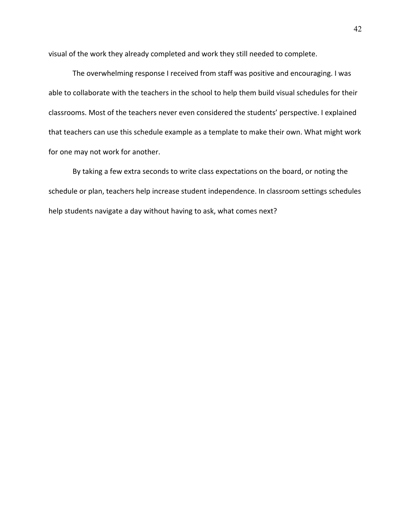visual of the work they already completed and work they still needed to complete.

The overwhelming response I received from staff was positive and encouraging. I was able to collaborate with the teachers in the school to help them build visual schedules for their classrooms. Most of the teachers never even considered the students' perspective. I explained that teachers can use this schedule example as a template to make their own. What might work for one may not work for another.

By taking a few extra seconds to write class expectations on the board, or noting the schedule or plan, teachers help increase student independence. In classroom settings schedules help students navigate a day without having to ask, what comes next?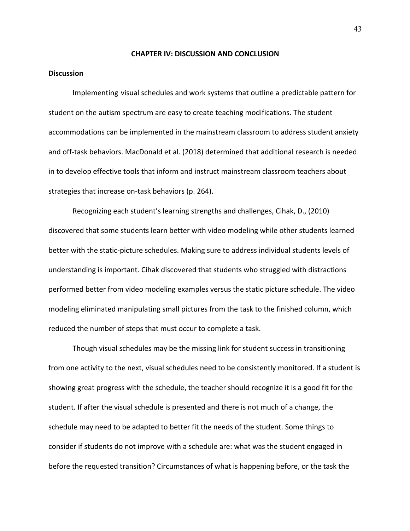#### **CHAPTER IV: DISCUSSION AND CONCLUSION**

#### **Discussion**

Implementing visual schedules and work systems that outline a predictable pattern for student on the autism spectrum are easy to create teaching modifications. The student accommodations can be implemented in the mainstream classroom to address student anxiety and off-task behaviors. MacDonald et al. (2018) determined that additional research is needed in to develop effective tools that inform and instruct mainstream classroom teachers about strategies that increase on-task behaviors (p. 264).

Recognizing each student's learning strengths and challenges, Cihak, D., (2010) discovered that some students learn better with video modeling while other students learned better with the static-picture schedules. Making sure to address individual students levels of understanding is important. Cihak discovered that students who struggled with distractions performed better from video modeling examples versus the static picture schedule. The video modeling eliminated manipulating small pictures from the task to the finished column, which reduced the number of steps that must occur to complete a task.

Though visual schedules may be the missing link for student success in transitioning from one activity to the next, visual schedules need to be consistently monitored. If a student is showing great progress with the schedule, the teacher should recognize it is a good fit for the student. If after the visual schedule is presented and there is not much of a change, the schedule may need to be adapted to better fit the needs of the student. Some things to consider if students do not improve with a schedule are: what was the student engaged in before the requested transition? Circumstances of what is happening before, or the task the

43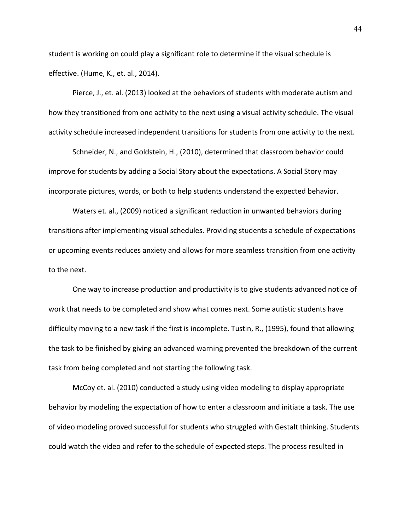student is working on could play a significant role to determine if the visual schedule is effective. (Hume, K., et. al., 2014).

Pierce, J., et. al. (2013) looked at the behaviors of students with moderate autism and how they transitioned from one activity to the next using a visual activity schedule. The visual activity schedule increased independent transitions for students from one activity to the next.

Schneider, N., and Goldstein, H., (2010), determined that classroom behavior could improve for students by adding a Social Story about the expectations. A Social Story may incorporate pictures, words, or both to help students understand the expected behavior.

Waters et. al., (2009) noticed a significant reduction in unwanted behaviors during transitions after implementing visual schedules. Providing students a schedule of expectations or upcoming events reduces anxiety and allows for more seamless transition from one activity to the next.

One way to increase production and productivity is to give students advanced notice of work that needs to be completed and show what comes next. Some autistic students have difficulty moving to a new task if the first is incomplete. Tustin, R., (1995), found that allowing the task to be finished by giving an advanced warning prevented the breakdown of the current task from being completed and not starting the following task.

McCoy et. al. (2010) conducted a study using video modeling to display appropriate behavior by modeling the expectation of how to enter a classroom and initiate a task. The use of video modeling proved successful for students who struggled with Gestalt thinking. Students could watch the video and refer to the schedule of expected steps. The process resulted in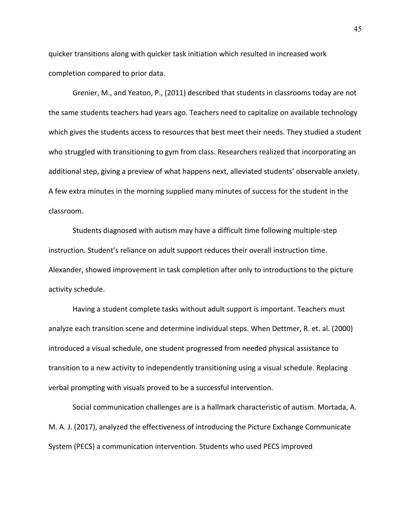quicker transitions along with quicker task initiation which resulted in increased work completion compared to prior data.

Grenier, M., and Yeaton, P., (2011) described that students in classrooms today are not the same students teachers had years ago. Teachers need to capitalize on available technology which gives the students access to resources that best meet their needs. They studied a student who struggled with transitioning to gym from class. Researchers realized that incorporating an additional step, giving a preview of what happens next, alleviated students' observable anxiety. A few extra minutes in the morning supplied many minutes of success for the student in the classroom.

Students diagnosed with autism may have a difficult time following multiple-step instruction. Student's reliance on adult support reduces their overall instruction time. Alexander, showed improvement in task completion after only to introductions to the picture activity schedule.

Having a student complete tasks without adult support is important. Teachers must analyze each transition scene and determine individual steps. When Dettmer, R. et. al. (2000) introduced a visual schedule, one student progressed from needed physical assistance to transition to a new activity to independently transitioning using a visual schedule. Replacing verbal prompting with visuals proved to be a successful intervention.

Social communication challenges are is a hallmark characteristic of autism. Mortada, A. M. A. J. (2017), analyzed the effectiveness of introducing the Picture Exchange Communicate System (PECS) a communication intervention. Students who used PECS improved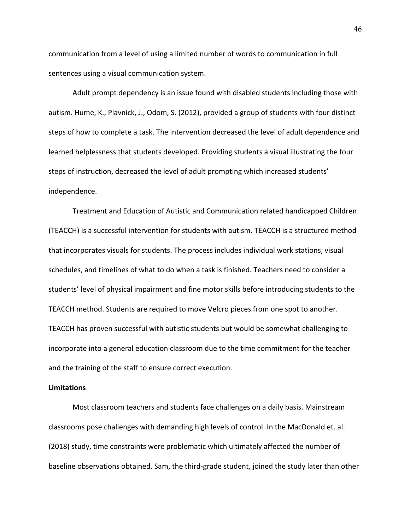communication from a level of using a limited number of words to communication in full sentences using a visual communication system.

Adult prompt dependency is an issue found with disabled students including those with autism. Hume, K., Plavnick, J., Odom, S. (2012), provided a group of students with four distinct steps of how to complete a task. The intervention decreased the level of adult dependence and learned helplessness that students developed. Providing students a visual illustrating the four steps of instruction, decreased the level of adult prompting which increased students' independence.

Treatment and Education of Autistic and Communication related handicapped Children (TEACCH) is a successful intervention for students with autism. TEACCH is a structured method that incorporates visuals for students. The process includes individual work stations, visual schedules, and timelines of what to do when a task is finished. Teachers need to consider a students' level of physical impairment and fine motor skills before introducing students to the TEACCH method. Students are required to move Velcro pieces from one spot to another. TEACCH has proven successful with autistic students but would be somewhat challenging to incorporate into a general education classroom due to the time commitment for the teacher and the training of the staff to ensure correct execution.

#### **Limitations**

Most classroom teachers and students face challenges on a daily basis. Mainstream classrooms pose challenges with demanding high levels of control. In the MacDonald et. al. (2018) study, time constraints were problematic which ultimately affected the number of baseline observations obtained. Sam, the third-grade student, joined the study later than other

46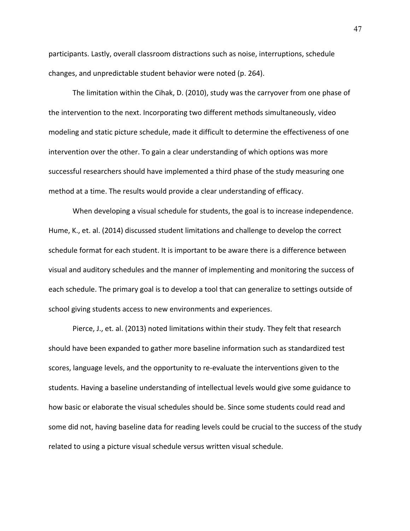participants. Lastly, overall classroom distractions such as noise, interruptions, schedule changes, and unpredictable student behavior were noted (p. 264).

The limitation within the Cihak, D. (2010), study was the carryover from one phase of the intervention to the next. Incorporating two different methods simultaneously, video modeling and static picture schedule, made it difficult to determine the effectiveness of one intervention over the other. To gain a clear understanding of which options was more successful researchers should have implemented a third phase of the study measuring one method at a time. The results would provide a clear understanding of efficacy.

When developing a visual schedule for students, the goal is to increase independence. Hume, K., et. al. (2014) discussed student limitations and challenge to develop the correct schedule format for each student. It is important to be aware there is a difference between visual and auditory schedules and the manner of implementing and monitoring the success of each schedule. The primary goal is to develop a tool that can generalize to settings outside of school giving students access to new environments and experiences.

Pierce, J., et. al. (2013) noted limitations within their study. They felt that research should have been expanded to gather more baseline information such as standardized test scores, language levels, and the opportunity to re-evaluate the interventions given to the students. Having a baseline understanding of intellectual levels would give some guidance to how basic or elaborate the visual schedules should be. Since some students could read and some did not, having baseline data for reading levels could be crucial to the success of the study related to using a picture visual schedule versus written visual schedule.

47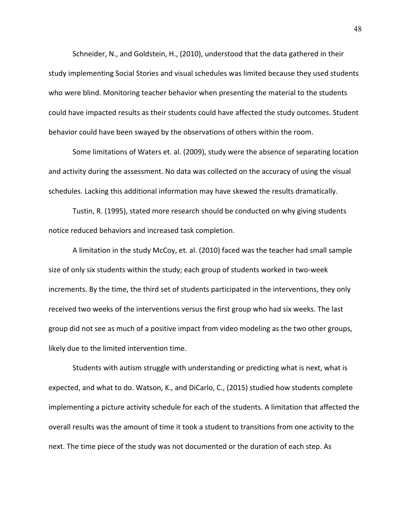Schneider, N., and Goldstein, H., (2010), understood that the data gathered in their study implementing Social Stories and visual schedules was limited because they used students who were blind. Monitoring teacher behavior when presenting the material to the students could have impacted results as their students could have affected the study outcomes. Student behavior could have been swayed by the observations of others within the room.

Some limitations of Waters et. al. (2009), study were the absence of separating location and activity during the assessment. No data was collected on the accuracy of using the visual schedules. Lacking this additional information may have skewed the results dramatically.

Tustin, R. (1995), stated more research should be conducted on why giving students notice reduced behaviors and increased task completion.

A limitation in the study McCoy, et. al. (2010) faced was the teacher had small sample size of only six students within the study; each group of students worked in two-week increments. By the time, the third set of students participated in the interventions, they only received two weeks of the interventions versus the first group who had six weeks. The last group did not see as much of a positive impact from video modeling as the two other groups, likely due to the limited intervention time.

Students with autism struggle with understanding or predicting what is next, what is expected, and what to do. Watson, K., and DiCarlo, C., (2015) studied how students complete implementing a picture activity schedule for each of the students. A limitation that affected the overall results was the amount of time it took a student to transitions from one activity to the next. The time piece of the study was not documented or the duration of each step. As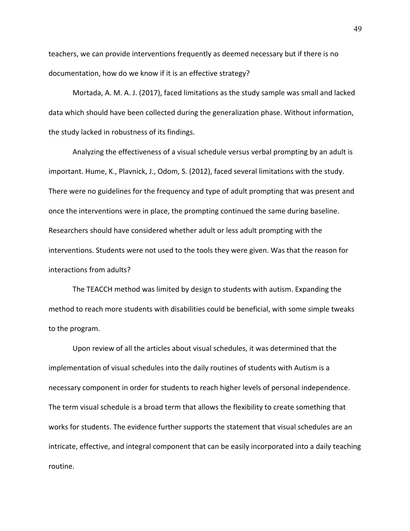teachers, we can provide interventions frequently as deemed necessary but if there is no documentation, how do we know if it is an effective strategy?

Mortada, A. M. A. J. (2017), faced limitations as the study sample was small and lacked data which should have been collected during the generalization phase. Without information, the study lacked in robustness of its findings.

Analyzing the effectiveness of a visual schedule versus verbal prompting by an adult is important. Hume, K., Plavnick, J., Odom, S. (2012), faced several limitations with the study. There were no guidelines for the frequency and type of adult prompting that was present and once the interventions were in place, the prompting continued the same during baseline. Researchers should have considered whether adult or less adult prompting with the interventions. Students were not used to the tools they were given. Was that the reason for interactions from adults?

The TEACCH method was limited by design to students with autism. Expanding the method to reach more students with disabilities could be beneficial, with some simple tweaks to the program.

Upon review of all the articles about visual schedules, it was determined that the implementation of visual schedules into the daily routines of students with Autism is a necessary component in order for students to reach higher levels of personal independence. The term visual schedule is a broad term that allows the flexibility to create something that works for students. The evidence further supports the statement that visual schedules are an intricate, effective, and integral component that can be easily incorporated into a daily teaching routine.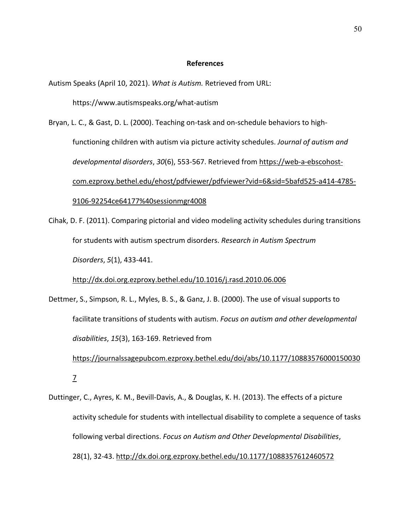#### **References**

Autism Speaks (April 10, 2021). *What is Autism.* Retrieved from URL:

https://www.autismspeaks.org/what-autism

Bryan, L. C., & Gast, D. L. (2000). Teaching on-task and on-schedule behaviors to highfunctioning children with autism via picture activity schedules. *Journal of autism and developmental disorders*, *30*(6), 553-567. Retrieved from https://web-a-ebscohostcom.ezproxy.bethel.edu/ehost/pdfviewer/pdfviewer?vid=6&sid=5bafd525-a414-4785- 9106-92254ce64177%40sessionmgr4008

Cihak, D. F. (2011). Comparing pictorial and video modeling activity schedules during transitions for students with autism spectrum disorders. *Research in Autism Spectrum Disorders*, *5*(1), 433-441.

http://dx.doi.org.ezproxy.bethel.edu/10.1016/j.rasd.2010.06.006

Dettmer, S., Simpson, R. L., Myles, B. S., & Ganz, J. B. (2000). The use of visual supports to facilitate transitions of students with autism. *Focus on autism and other developmental disabilities*, *15*(3), 163-169. Retrieved from https://journalssagepubcom.ezproxy.bethel.edu/doi/abs/10.1177/10883576000150030 7

Duttinger, C., Ayres, K. M., Bevill-Davis, A., & Douglas, K. H. (2013). The effects of a picture activity schedule for students with intellectual disability to complete a sequence of tasks following verbal directions. *Focus on Autism and Other Developmental Disabilities*, 28(1), 32-43. http://dx.doi.org.ezproxy.bethel.edu/10.1177/1088357612460572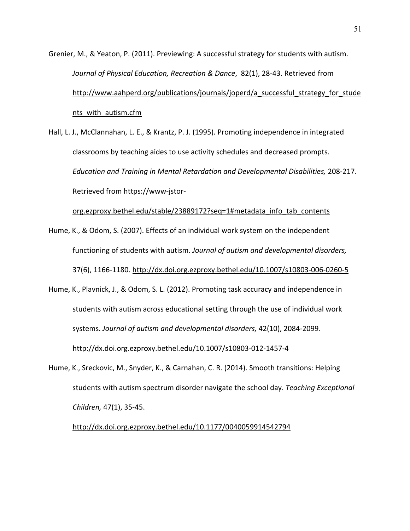Grenier, M., & Yeaton, P. (2011). Previewing: A successful strategy for students with autism. *Journal of Physical Education, Recreation & Dance*, 82(1), 28-43. Retrieved from http://www.aahperd.org/publications/journals/joperd/a successful strategy for stude nts with autism.cfm

Hall, L. J., McClannahan, L. E., & Krantz, P. J. (1995). Promoting independence in integrated classrooms by teaching aides to use activity schedules and decreased prompts. *Education and Training in Mental Retardation and Developmental Disabilities,* 208-217. Retrieved from https://www-jstor-

org.ezproxy.bethel.edu/stable/23889172?seq=1#metadata\_info\_tab\_contents

- Hume, K., & Odom, S. (2007). Effects of an individual work system on the independent functioning of students with autism. *Journal of autism and developmental disorders,* 37(6), 1166-1180. http://dx.doi.org.ezproxy.bethel.edu/10.1007/s10803-006-0260-5
- Hume, K., Plavnick, J., & Odom, S. L. (2012). Promoting task accuracy and independence in students with autism across educational setting through the use of individual work systems. *Journal of autism and developmental disorders,* 42(10), 2084-2099. http://dx.doi.org.ezproxy.bethel.edu/10.1007/s10803-012-1457-4
- Hume, K., Sreckovic, M., Snyder, K., & Carnahan, C. R. (2014). Smooth transitions: Helping students with autism spectrum disorder navigate the school day. *Teaching Exceptional Children,* 47(1), 35-45.

http://dx.doi.org.ezproxy.bethel.edu/10.1177/0040059914542794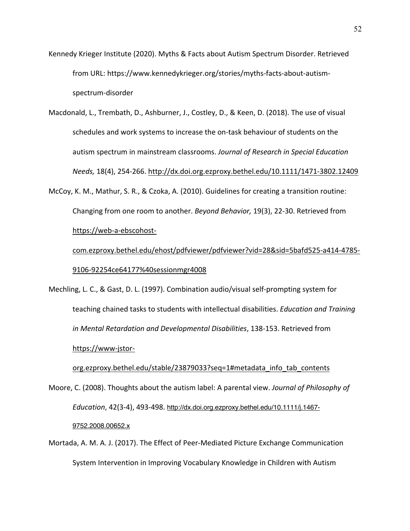- Kennedy Krieger Institute (2020). Myths & Facts about Autism Spectrum Disorder. Retrieved from URL: https://www.kennedykrieger.org/stories/myths-facts-about-autismspectrum-disorder
- Macdonald, L., Trembath, D., Ashburner, J., Costley, D., & Keen, D. (2018). The use of visual schedules and work systems to increase the on-task behaviour of students on the autism spectrum in mainstream classrooms. *Journal of Research in Special Education Needs,* 18(4), 254-266. http://dx.doi.org.ezproxy.bethel.edu/10.1111/1471-3802.12409
- McCoy, K. M., Mathur, S. R., & Czoka, A. (2010). Guidelines for creating a transition routine: Changing from one room to another. *Beyond Behavior,* 19(3), 22-30. Retrieved from https://web-a-ebscohost-

com.ezproxy.bethel.edu/ehost/pdfviewer/pdfviewer?vid=28&sid=5bafd525-a414-4785- 9106-92254ce64177%40sessionmgr4008

Mechling, L. C., & Gast, D. L. (1997). Combination audio/visual self-prompting system for teaching chained tasks to students with intellectual disabilities. *Education and Training in Mental Retardation and Developmental Disabilities*, 138-153. Retrieved from https://www-jstor-

# org.ezproxy.bethel.edu/stable/23879033?seq=1#metadata\_info\_tab\_contents Moore, C. (2008). Thoughts about the autism label: A parental view. *Journal of Philosophy of Education*, 42(3-4), 493-498. http://dx.doi.org.ezproxy.bethel.edu/10.1111/j.1467-

#### 9752.2008.00652.x

Mortada, A. M. A. J. (2017). The Effect of Peer-Mediated Picture Exchange Communication System Intervention in Improving Vocabulary Knowledge in Children with Autism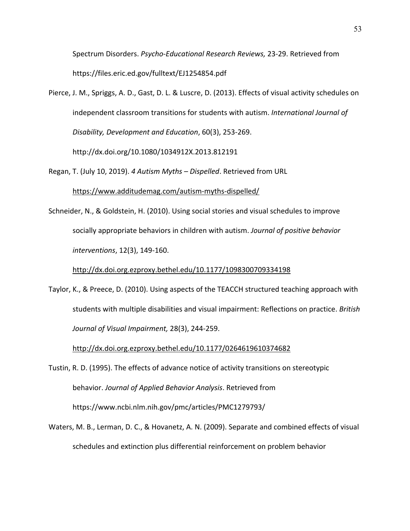Spectrum Disorders. *Psycho-Educational Research Reviews,* 23-29. Retrieved from https://files.eric.ed.gov/fulltext/EJ1254854.pdf

Pierce, J. M., Spriggs, A. D., Gast, D. L. & Luscre, D. (2013). Effects of visual activity schedules on independent classroom transitions for students with autism. *International Journal of Disability, Development and Education*, 60(3), 253-269.

http://dx.doi.org/10.1080/1034912X.2013.812191

Regan, T. (July 10, 2019). *4 Autism Myths – Dispelled*. Retrieved from URL

https://www.additudemag.com/autism-myths-dispelled/

Schneider, N., & Goldstein, H. (2010). Using social stories and visual schedules to improve socially appropriate behaviors in children with autism. *Journal of positive behavior interventions*, 12(3), 149-160.

http://dx.doi.org.ezproxy.bethel.edu/10.1177/1098300709334198

Taylor, K., & Preece, D. (2010). Using aspects of the TEACCH structured teaching approach with students with multiple disabilities and visual impairment: Reflections on practice. *British Journal of Visual Impairment,* 28(3), 244-259.

http://dx.doi.org.ezproxy.bethel.edu/10.1177/0264619610374682

Tustin, R. D. (1995). The effects of advance notice of activity transitions on stereotypic behavior. *Journal of Applied Behavior Analysis*. Retrieved from https://www.ncbi.nlm.nih.gov/pmc/articles/PMC1279793/

Waters, M. B., Lerman, D. C., & Hovanetz, A. N. (2009). Separate and combined effects of visual schedules and extinction plus differential reinforcement on problem behavior